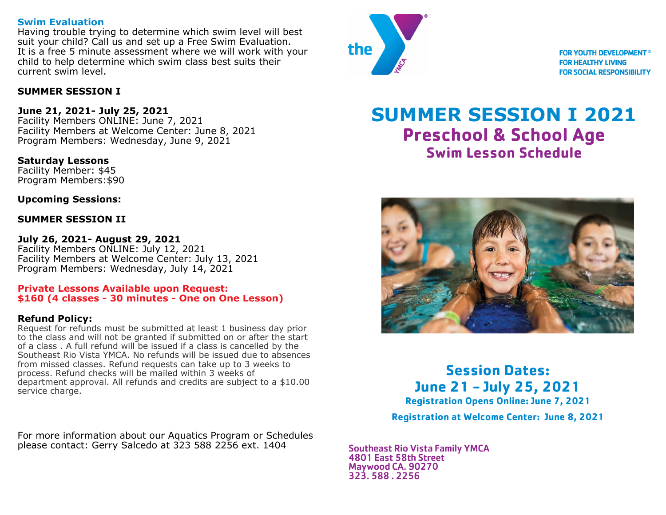## **Swim Evaluation**

Having trouble trying to determine which swim level will best suit your child? Call us and set up a Free Swim Evaluation. It is a free 5 minute assessment where we will work with your child to help determine which swim class best suits their current swim level.

## **SUMMER SESSION I**

## **June 21, 2021- July 25, 2021**

Facility Members ONLINE: June 7, 2021 Facility Members at Welcome Center: June 8, 2021 Program Members: Wednesday, June 9, 2021

**Saturday Lessons**  Facility Member: \$45 Program Members:\$90

**Upcoming Sessions:** 

## **SUMMER SESSION II**

**July 26, 2021- August 29, 2021**  Facility Members ONLINE: July 12, 2021 Facility Members at Welcome Center: July 13, 2021 Program Members: Wednesday, July 14, 2021

#### **Private Lessons Available upon Request: \$160 (4 classes - 30 minutes - One on One Lesson)**

## **Refund Policy:**

Request for refunds must be submitted at least 1 business day prior to the class and will not be granted if submitted on or after the start of a class . A full refund will be issued if a class is cancelled by the Southeast Rio Vista YMCA. No refunds will be issued due to absences from missed classes. Refund requests can take up to 3 weeks to process. Refund checks will be mailed within 3 weeks of department approval. All refunds and credits are subject to a \$10.00 service charge.

For more information about our Aquatics Program or Schedules please contact: Gerry Salcedo at 323 588 2256 ext. 1404



**FOR YOUTH DEVELOPMENT<sup>®</sup> FOR HEALTHY LIVING FOR SOCIAL RESPONSIBILITY** 

# **SUMMER SESSION I 2021 Preschool & School Age Swim Lesson Schedule**



**Session Dates: June 21 - July 25, 2021**

**Registration Opens Online: June 7, 2021** 

**Registration at Welcome Center: June 8, 2021**

Southeast Rio Vista Family YMCA 4801 East 58th Street Maywood CA. 90270 323. 588 . 2256